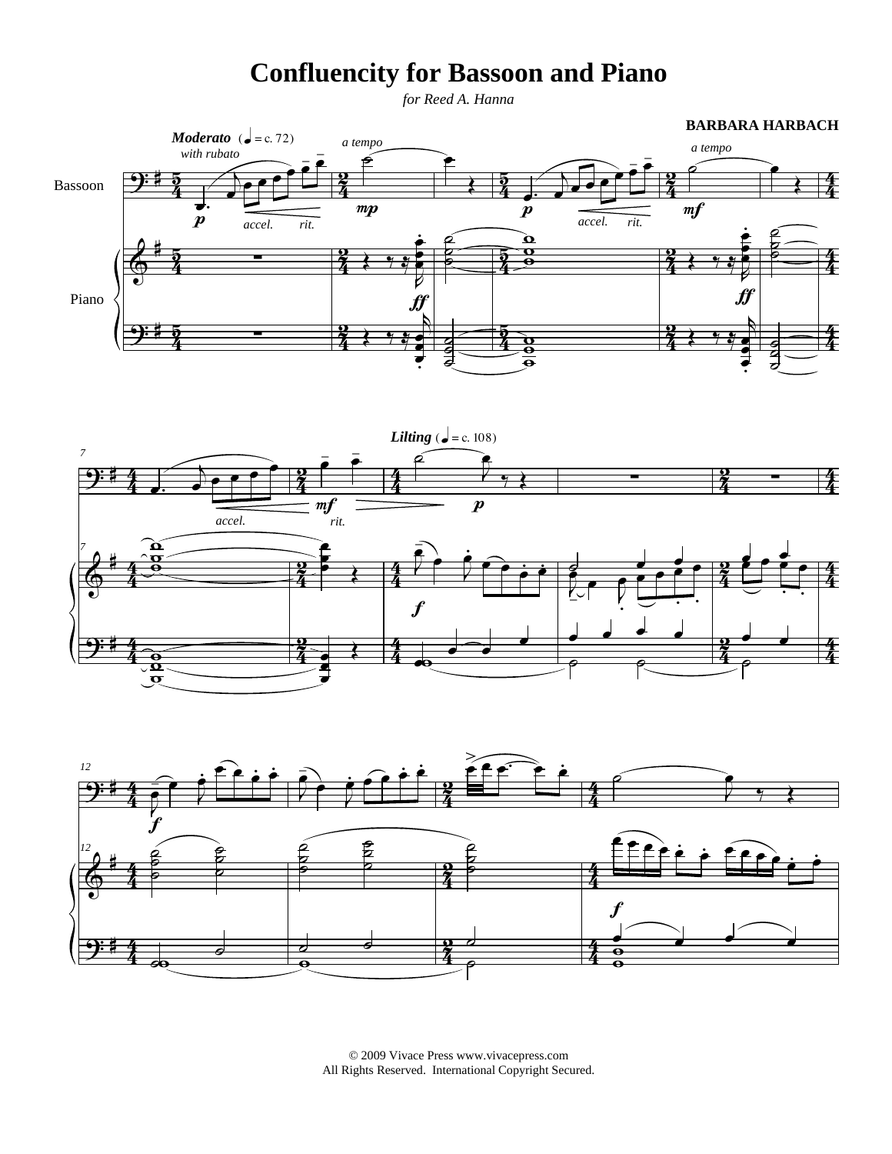## **Confluencity for Bassoon and Piano**

*for Reed A. Hanna*







© 2009 Vivace Press www.vivacepress.com All Rights Reserved. International Copyright Secured.